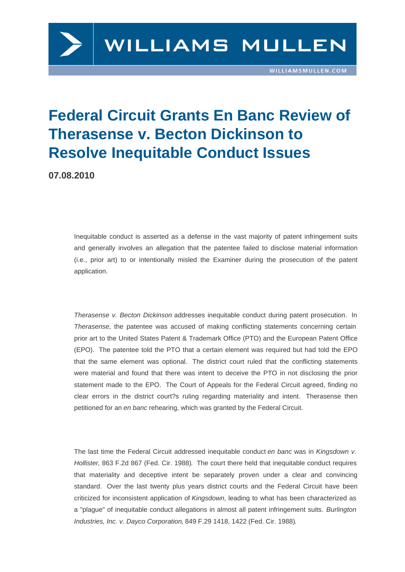## Federal Circuit Grants En Banc Review of Therasense v. Becton Dickinson to Resolve Inequitable Conduct Issues

07.08.2010

Inequitable conduct is asserted as a defense in the vast majority of patent infringement suits and generally involves an allegation that the patentee failed to disclose material information (i.e., prior art) to or intentionally misled the Examiner during the prosecution of the patent application.

Therasense v. Becton Dickinson addresses inequitable conduct during patent prosecution. In Therasense, the patentee was accused of making conflicting statements concerning certain prior art to the United States Patent & Trademark Office (PTO) and the European Patent Office [\(EPO\). The patentee told the PT](https://www.williamsmullen.com/files/Uploads/Documents/593 F 3d 1289 - Therasense v  Becton.pdf)O that a certain element was required but had told the EPO that the same element was optional. The district court ruled that the conflicting statements were material and found that there was intent to deceive the PTO in not disclosing the prior statement made to the EPO. The Court of Appeals for the Federal Circuit agreed, finding no clear errors in the district court?s ruling regarding materiality and intent. Therasense then petitioned for an en banc rehearing, which was granted by the Federal Circuit.

The last time the Federal Circuit addressed inequitable conduct en banc was in Kingsdown v. Hollister, 863 F.2d 867 (Fed. Cir. 1988). The court there held that inequitable conduct requires that materiality and deceptive intent be separately proven under a clear and convincing standard. Over the last twenty plus years district courts and the Federal Circ[uit have been](https://www.williamsmullen.com/files/Uploads/Documents/863 F  2D 867.pdf)  [criticized for inconsistent application of](https://www.williamsmullen.com/files/Uploads/Documents/863 F  2D 867.pdf) Kingsdown, leading to what has been characterized as a "plague" of inequitable conduct allegations in almost all patent infringement suits. Burlington Industries, Inc. v. Dayco Corporation, 849 F.29 1418, 1422 (Fed. Cir. 1988).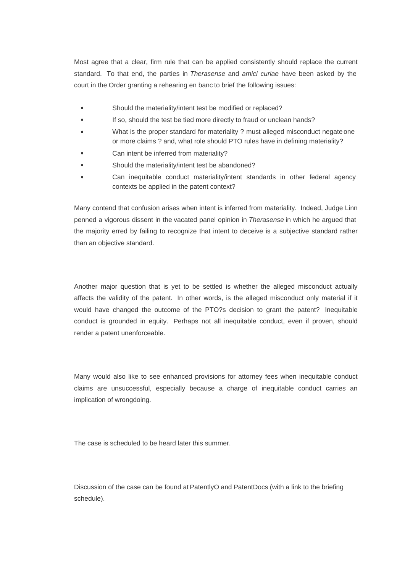Most agree that a clear, firm rule that can be applied consistently should replace the current standard. To that end, the parties in Therasense and amici curiae have been asked by the court in the Order granting a rehearing en banc to brief the following issues:

- $\bullet$ Should the materiality/intent test be modified or replaced?
- [If so, should the test be tied more](https://www.williamsmullen.com/files/Uploads/Documents/en banc order.pdf) directly to fraud or unclean hands?
- What is the proper standard for materiality ? must alleged misconduct negate one or more claims ? and, what role should PTO rules have in defining materiality?
- Can intent be inferred from materiality?
- Should the materiality/intent test be abandoned?
- Can inequitable conduct materiality/intent standards in other federal agency  $\bullet$ contexts be applied in the patent context?

Many contend that confusion arises when intent is inferred from materiality. Indeed, Judge Linn penned a vigorous dissent in the vacated panel opinion in Therasense in which he argued that the majority erred by failing to recognize that intent to deceive is a subjective standard rather than an objective standard.

Another major question that is yet to be settled is whether the alleged misconduct actually affects the validity of the patent. In other words, is the alleged misconduct only material if it would have changed the outcome of the PTO?s decision to grant the patent? Inequitable conduct is grounded in equity. Perhaps not all inequitable conduct, even if proven, should render a patent unenforceable.

Many would also like to see enhanced provisions for attorney fees when inequitable conduct claims are unsuccessful, especially because a charge of inequitable conduct carries an implication of wrongdoing.

The case is scheduled to be heard later this summer.

Discussion of the case can be found at PatentlyO and PatentDocs (with a link to the briefing schedule).